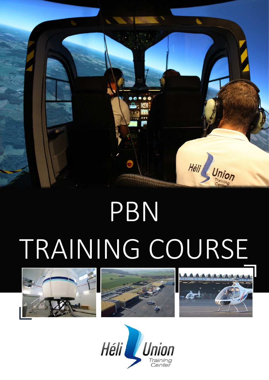

# PBN TRAINING COURSE







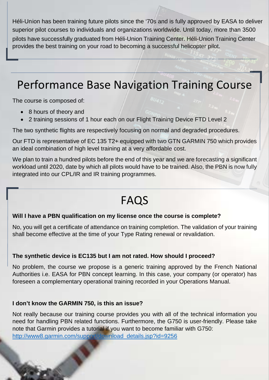Héli-Union has been training future pilots since the '70s and is fully approved by EASA to deliver superior pilot courses to individuals and organizations worldwide. Until today, more than 3500 Silots have successliy graduated from Héli-Union Training Center. Héli-Union Training Center provides the best training on your road to becoming a successful helicopter pilot.

## Performance Base Navigation Training Course

The course is composed of:

- 8 hours of theory and
- 2 training sessions of 1 hour each on our Flight Training Device FTD Level 2

The two synthetic flights are respectively focusing on normal and degraded procedures.

Our FTD is representative of EC 135 T2+ equipped with two GTN GARMIN 750 which provides an ideal combination of high level training at a very affordable cost.

We plan to train a hundred pilots before the end of this year and we are forecasting a significant workload until 2020, date by which all pilots would have to be trained. Also, the PBN is now fully integrated into our CPL/IR and IR training programmes.

## FAQS

#### **Will I have a PBN qualification on my license once the course is complete?**

No, you will get a certificate of attendance on training completion. The validation of your training shall become effective at the time of your Type Rating renewal or revalidation.

#### **The synthetic device is EC135 but I am not rated. How should I proceed?**

No problem, the course we propose is a generic training approved by the French National Authorities i.e. EASA for PBN concept learning. In this case, your company (or operator) has foreseen a complementary operational training recorded in your Operations Manual.

#### **I don't know the GARMIN 750, is this an issue?**

Not really because our training course provides you with all of the technical information you need for handling PBN related functions. Furthermore, the G750 is user-friendly. Please take note that Garmin provides a tutorial if you want to become familiar with G750: [http://www8.garmin.com/support/download\\_details.jsp?id=9256](http://www8.garmin.com/support/download_details.jsp?id=9256)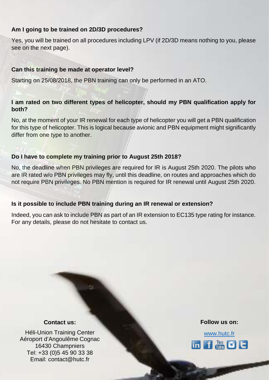#### **Am I going to be trained on 2D/3D procedures?**

Yes, you will be trained on all procedures including LPV (if 2D/3D means nothing to you, please see on the next page).

#### **Can this training be made at operator level?**

Starting on 25/08/2018, the PBN training can only be performed in an ATO.

#### **I am rated on two different types of helicopter, should my PBN qualification apply for both?**

No, at the moment of your IR renewal for each type of helicopter you will get a PBN qualification for this type of helicopter. This is logical because avionic and PBN equipment might significantly differ from one type to another.

#### **Do I have to complete my training prior to August 25th 2018?**

No, the deadline when PBN privileges are required for IR is August 25th 2020. The pilots who are IR rated w/o PBN privileges may fly, until this deadline, on routes and approaches which do not require PBN privileges. No PBN mention is required for IR renewal until August 25th 2020.

#### **Is it possible to include PBN training during an IR renewal or extension?**

Indeed, you can ask to include PBN as part of an IR extension to EC135 type rating for instance. For any details, please do not hesitate to contact us.

#### **Contact us:**

Héli-Union Training Center Aéroport d'Angoulême Cognac 16430 Champniers Tel: +33 (0)5 45 90 33 38 Email: contact@hutc.fr

#### **Follow us on:**